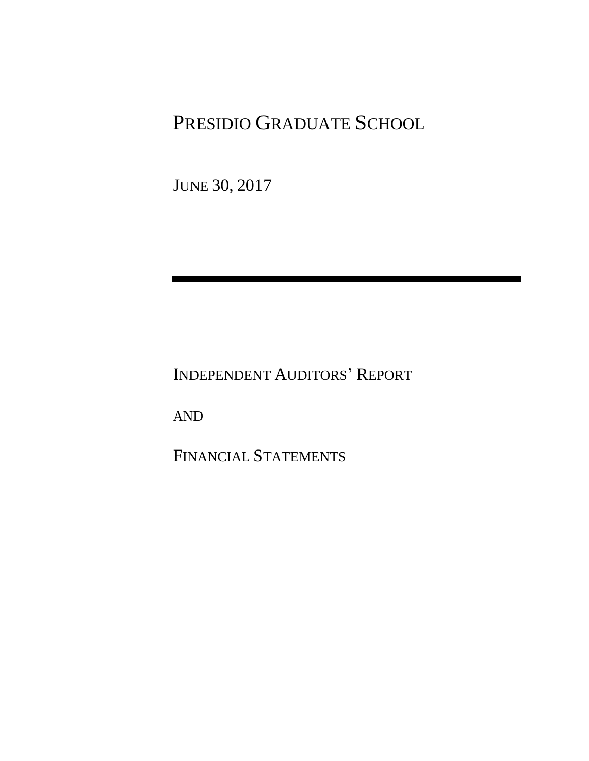# PRESIDIO GRADUATE SCHOOL

JUNE 30, 2017

INDEPENDENT AUDITORS' REPORT

AND

FINANCIAL STATEMENTS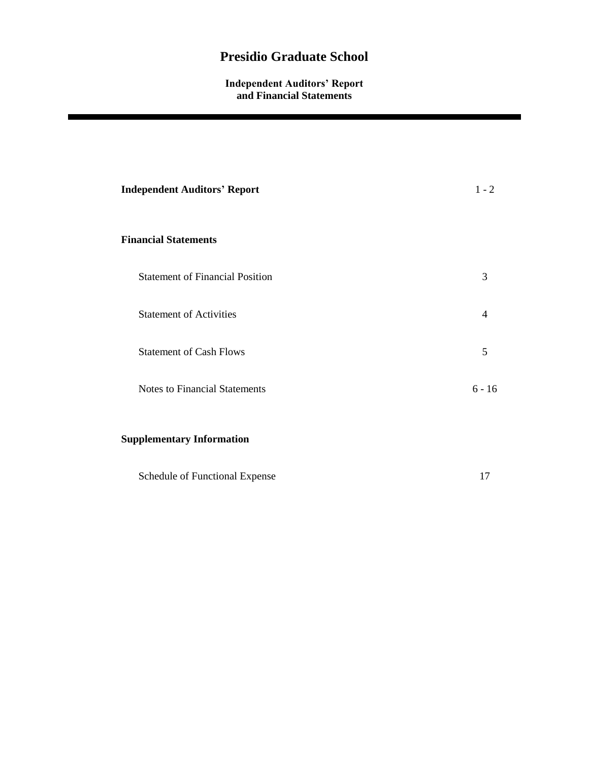#### **Independent Auditors' Report and Financial Statements**

| <b>Independent Auditors' Report</b>    | $1 - 2$        |
|----------------------------------------|----------------|
| <b>Financial Statements</b>            |                |
| <b>Statement of Financial Position</b> | 3              |
| <b>Statement of Activities</b>         | $\overline{4}$ |
| <b>Statement of Cash Flows</b>         | 5              |
| <b>Notes to Financial Statements</b>   | $6 - 16$       |
| <b>Supplementary Information</b>       |                |

Schedule of Functional Expense 17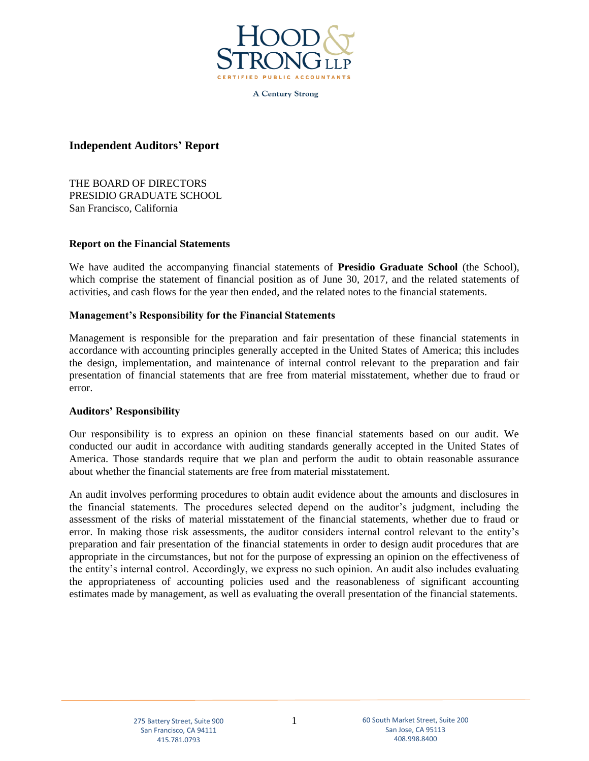

**A Century Strong** 

#### **Independent Auditors' Report**

THE BOARD OF DIRECTORS PRESIDIO GRADUATE SCHOOL San Francisco, California

#### **Report on the Financial Statements**

We have audited the accompanying financial statements of **Presidio Graduate School** (the School), which comprise the statement of financial position as of June 30, 2017, and the related statements of activities, and cash flows for the year then ended, and the related notes to the financial statements.

#### **Management's Responsibility for the Financial Statements**

Management is responsible for the preparation and fair presentation of these financial statements in accordance with accounting principles generally accepted in the United States of America; this includes the design, implementation, and maintenance of internal control relevant to the preparation and fair presentation of financial statements that are free from material misstatement, whether due to fraud or error.

#### **Auditors' Responsibility**

Our responsibility is to express an opinion on these financial statements based on our audit. We conducted our audit in accordance with auditing standards generally accepted in the United States of America. Those standards require that we plan and perform the audit to obtain reasonable assurance about whether the financial statements are free from material misstatement.

An audit involves performing procedures to obtain audit evidence about the amounts and disclosures in the financial statements. The procedures selected depend on the auditor's judgment, including the assessment of the risks of material misstatement of the financial statements, whether due to fraud or error. In making those risk assessments, the auditor considers internal control relevant to the entity's preparation and fair presentation of the financial statements in order to design audit procedures that are appropriate in the circumstances, but not for the purpose of expressing an opinion on the effectiveness of the entity's internal control. Accordingly, we express no such opinion. An audit also includes evaluating the appropriateness of accounting policies used and the reasonableness of significant accounting estimates made by management, as well as evaluating the overall presentation of the financial statements.

1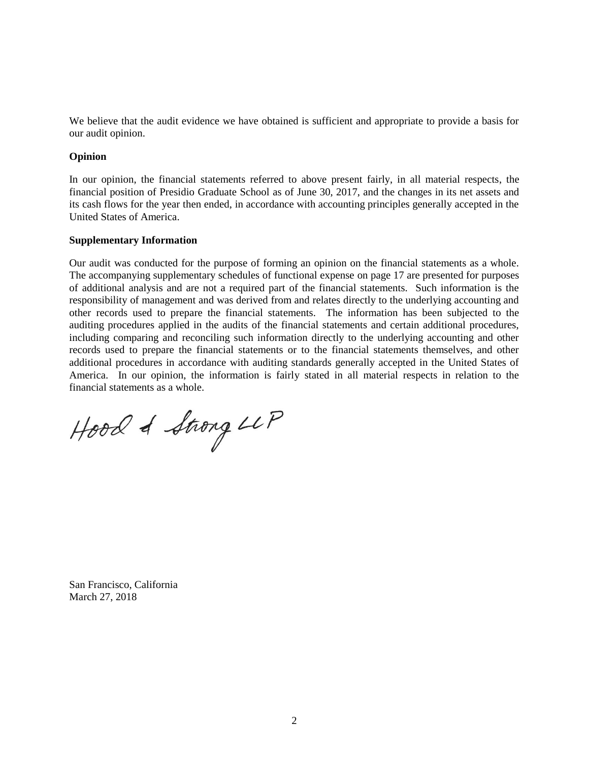We believe that the audit evidence we have obtained is sufficient and appropriate to provide a basis for our audit opinion.

#### **Opinion**

In our opinion, the financial statements referred to above present fairly, in all material respects, the financial position of Presidio Graduate School as of June 30, 2017, and the changes in its net assets and its cash flows for the year then ended, in accordance with accounting principles generally accepted in the United States of America.

#### **Supplementary Information**

Our audit was conducted for the purpose of forming an opinion on the financial statements as a whole. The accompanying supplementary schedules of functional expense on page 17 are presented for purposes of additional analysis and are not a required part of the financial statements. Such information is the responsibility of management and was derived from and relates directly to the underlying accounting and other records used to prepare the financial statements. The information has been subjected to the auditing procedures applied in the audits of the financial statements and certain additional procedures, including comparing and reconciling such information directly to the underlying accounting and other records used to prepare the financial statements or to the financial statements themselves, and other additional procedures in accordance with auditing standards generally accepted in the United States of America. In our opinion, the information is fairly stated in all material respects in relation to the financial statements as a whole.

Hood & Strong LLP

San Francisco, California March 27, 2018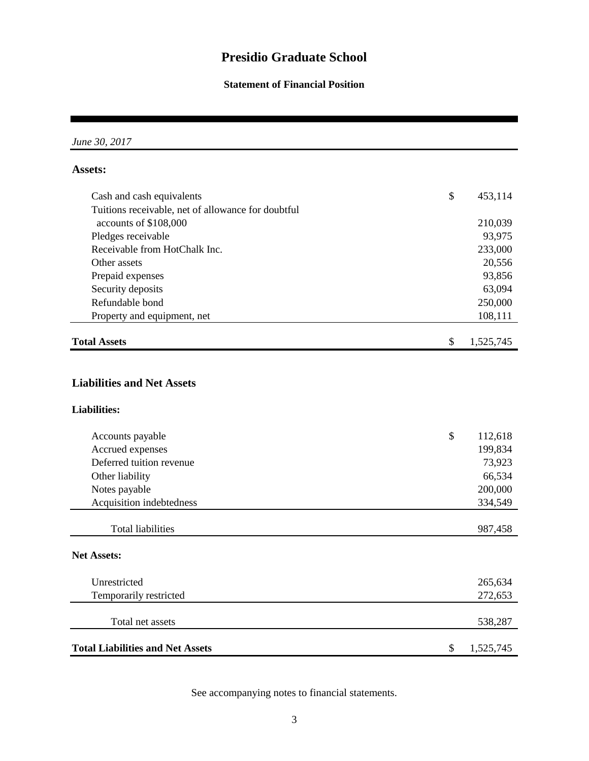#### **Statement of Financial Position**

*June 30, 2017*

#### **Assets:**

| Cash and cash equivalents                          | $\mathsf{\$}$ | 453,114           |
|----------------------------------------------------|---------------|-------------------|
| Tuitions receivable, net of allowance for doubtful |               |                   |
| accounts of \$108,000<br>Pledges receivable        |               | 210,039<br>93,975 |
| Receivable from HotChalk Inc.                      |               | 233,000           |
| Other assets                                       |               | 20,556            |
| Prepaid expenses                                   |               | 93,856            |
| Security deposits                                  |               | 63,094            |
| Refundable bond                                    |               | 250,000           |
| Property and equipment, net                        |               | 108,111           |
|                                                    |               |                   |
| <b>Total Assets</b>                                | \$            | 1,525,745         |
|                                                    |               |                   |
| <b>Liabilities and Net Assets</b>                  |               |                   |
| <b>Liabilities:</b>                                |               |                   |
| Accounts payable                                   | \$            | 112,618           |
| Accrued expenses                                   |               | 199,834           |
| Deferred tuition revenue                           |               | 73,923            |
| Other liability                                    |               | 66,534            |
| Notes payable                                      |               | 200,000           |
| Acquisition indebtedness                           |               | 334,549           |
| <b>Total liabilities</b>                           |               | 987,458           |
| <b>Net Assets:</b>                                 |               |                   |
| Unrestricted                                       |               |                   |
|                                                    |               | 265,634           |
| Temporarily restricted                             |               | 272,653           |
| Total net assets                                   |               | 538,287           |
| <b>Total Liabilities and Net Assets</b>            | \$            | 1,525,745         |

See accompanying notes to financial statements.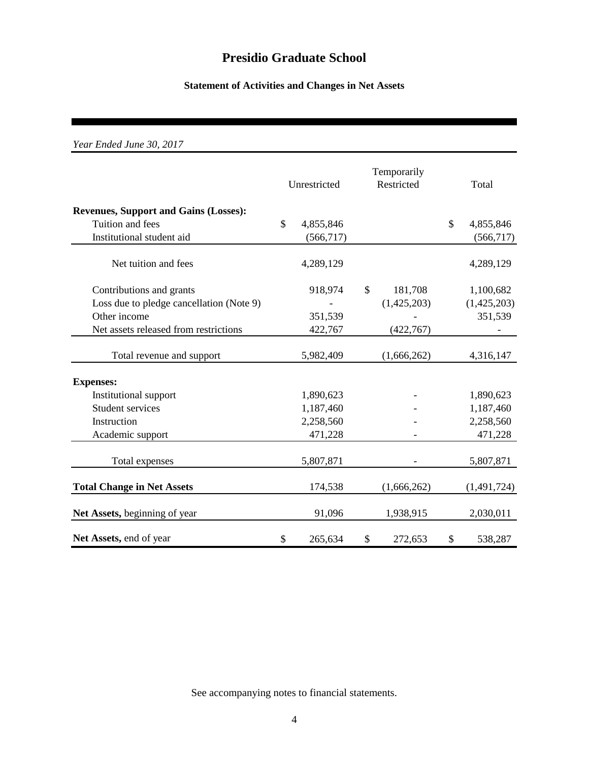### **Statement of Activities and Changes in Net Assets**

| Year Ended June 30, 2017                                         |    |              |                           |             |    |             |  |
|------------------------------------------------------------------|----|--------------|---------------------------|-------------|----|-------------|--|
|                                                                  |    | Unrestricted | Temporarily<br>Restricted |             |    | Total       |  |
| <b>Revenues, Support and Gains (Losses):</b><br>Tuition and fees |    | 4,855,846    |                           |             | \$ | 4,855,846   |  |
| Institutional student aid                                        |    | (566, 717)   |                           |             |    | (566, 717)  |  |
| Net tuition and fees                                             |    | 4,289,129    |                           |             |    | 4,289,129   |  |
| Contributions and grants                                         |    | 918,974      | \$                        | 181,708     |    | 1,100,682   |  |
| Loss due to pledge cancellation (Note 9)                         |    |              |                           | (1,425,203) |    | (1,425,203) |  |
| Other income                                                     |    | 351,539      |                           |             |    | 351,539     |  |
| Net assets released from restrictions                            |    | 422,767      |                           | (422, 767)  |    |             |  |
| Total revenue and support                                        |    | 5,982,409    |                           | (1,666,262) |    | 4,316,147   |  |
| <b>Expenses:</b>                                                 |    |              |                           |             |    |             |  |
| Institutional support                                            |    | 1,890,623    |                           |             |    | 1,890,623   |  |
| Student services                                                 |    | 1,187,460    |                           |             |    | 1,187,460   |  |
| Instruction                                                      |    | 2,258,560    |                           |             |    | 2,258,560   |  |
| Academic support                                                 |    | 471,228      |                           |             |    | 471,228     |  |
| Total expenses                                                   |    | 5,807,871    |                           |             |    | 5,807,871   |  |
| <b>Total Change in Net Assets</b>                                |    | 174,538      |                           | (1,666,262) |    | (1,491,724) |  |
| Net Assets, beginning of year                                    |    | 91,096       |                           | 1,938,915   |    | 2,030,011   |  |
| Net Assets, end of year                                          | \$ | 265,634      | \$                        | 272,653     | \$ | 538,287     |  |

See accompanying notes to financial statements.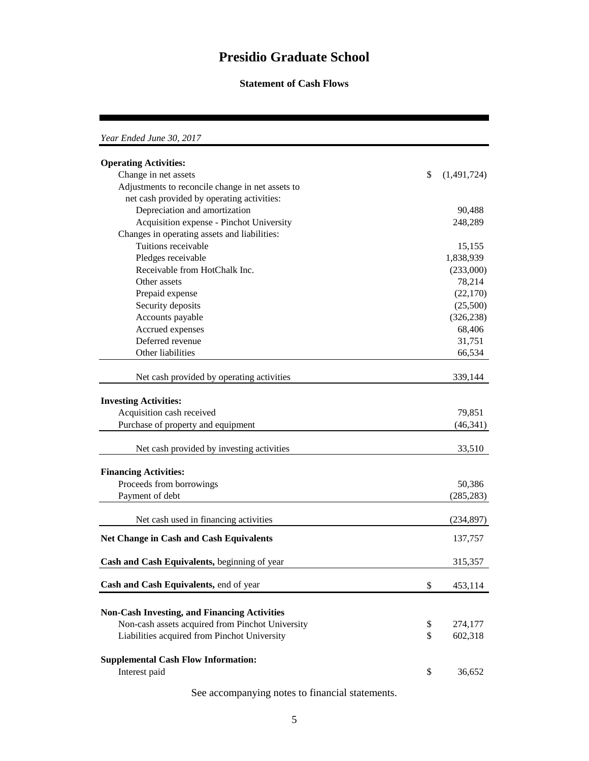#### **Statement of Cash Flows**

| Year Ended June 30, 2017                            |                   |
|-----------------------------------------------------|-------------------|
| <b>Operating Activities:</b>                        |                   |
| Change in net assets                                | \$<br>(1,491,724) |
| Adjustments to reconcile change in net assets to    |                   |
| net cash provided by operating activities:          |                   |
| Depreciation and amortization                       | 90,488            |
| Acquisition expense - Pinchot University            | 248,289           |
| Changes in operating assets and liabilities:        |                   |
| Tuitions receivable                                 | 15,155            |
| Pledges receivable                                  | 1,838,939         |
| Receivable from HotChalk Inc.                       | (233,000)         |
| Other assets                                        | 78,214            |
| Prepaid expense                                     | (22,170)          |
| Security deposits                                   | (25,500)          |
| Accounts payable                                    | (326, 238)        |
| Accrued expenses                                    | 68,406            |
| Deferred revenue                                    | 31,751            |
| Other liabilities                                   | 66,534            |
|                                                     |                   |
| Net cash provided by operating activities           | 339,144           |
|                                                     |                   |
| <b>Investing Activities:</b>                        |                   |
| Acquisition cash received                           | 79,851            |
| Purchase of property and equipment                  | (46, 341)         |
| Net cash provided by investing activities           | 33,510            |
|                                                     |                   |
| <b>Financing Activities:</b>                        |                   |
| Proceeds from borrowings                            | 50,386            |
| Payment of debt                                     | (285, 283)        |
| Net cash used in financing activities               | (234, 897)        |
| <b>Net Change in Cash and Cash Equivalents</b>      | 137,757           |
| Cash and Cash Equivalents, beginning of year        | 315,357           |
| Cash and Cash Equivalents, end of year              | \$<br>453,114     |
|                                                     |                   |
| <b>Non-Cash Investing, and Financing Activities</b> |                   |
| Non-cash assets acquired from Pinchot University    | \$<br>274,177     |
| Liabilities acquired from Pinchot University        | \$<br>602,318     |
| <b>Supplemental Cash Flow Information:</b>          |                   |
| Interest paid                                       | \$<br>36,652      |
| See accompanying notes to financial statements.     |                   |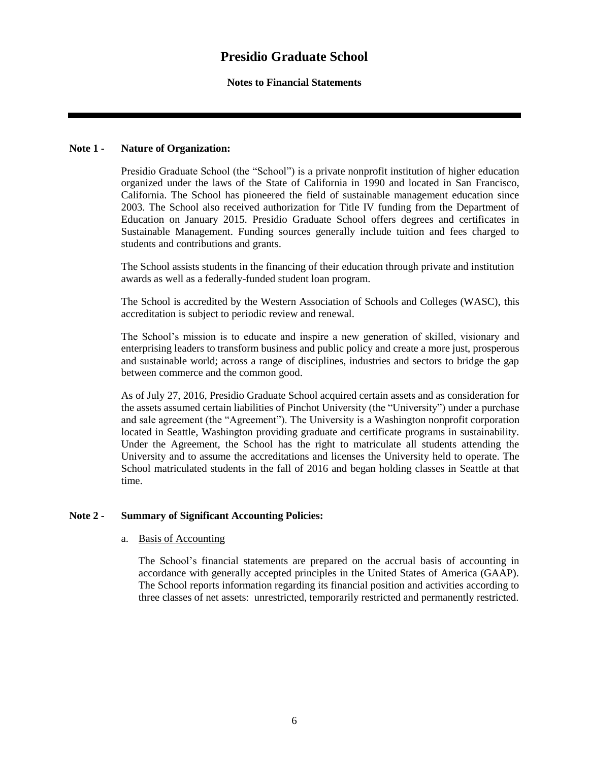#### **Notes to Financial Statements**

#### **Note 1 - Nature of Organization:**

Presidio Graduate School (the "School") is a private nonprofit institution of higher education organized under the laws of the State of California in 1990 and located in San Francisco, California. The School has pioneered the field of sustainable management education since 2003. The School also received authorization for Title IV funding from the Department of Education on January 2015. Presidio Graduate School offers degrees and certificates in Sustainable Management. Funding sources generally include tuition and fees charged to students and contributions and grants.

The School assists students in the financing of their education through private and institution awards as well as a federally-funded student loan program.

The School is accredited by the Western Association of Schools and Colleges (WASC), this accreditation is subject to periodic review and renewal.

The School's mission is to educate and inspire a new generation of skilled, visionary and enterprising leaders to transform business and public policy and create a more just, prosperous and sustainable world; across a range of disciplines, industries and sectors to bridge the gap between commerce and the common good.

As of July 27, 2016, Presidio Graduate School acquired certain assets and as consideration for the assets assumed certain liabilities of Pinchot University (the "University") under a purchase and sale agreement (the "Agreement"). The University is a Washington nonprofit corporation located in Seattle, Washington providing graduate and certificate programs in sustainability. Under the Agreement, the School has the right to matriculate all students attending the University and to assume the accreditations and licenses the University held to operate. The School matriculated students in the fall of 2016 and began holding classes in Seattle at that time.

#### **Note 2 - Summary of Significant Accounting Policies:**

#### a. Basis of Accounting

The School's financial statements are prepared on the accrual basis of accounting in accordance with generally accepted principles in the United States of America (GAAP). The School reports information regarding its financial position and activities according to three classes of net assets: unrestricted, temporarily restricted and permanently restricted.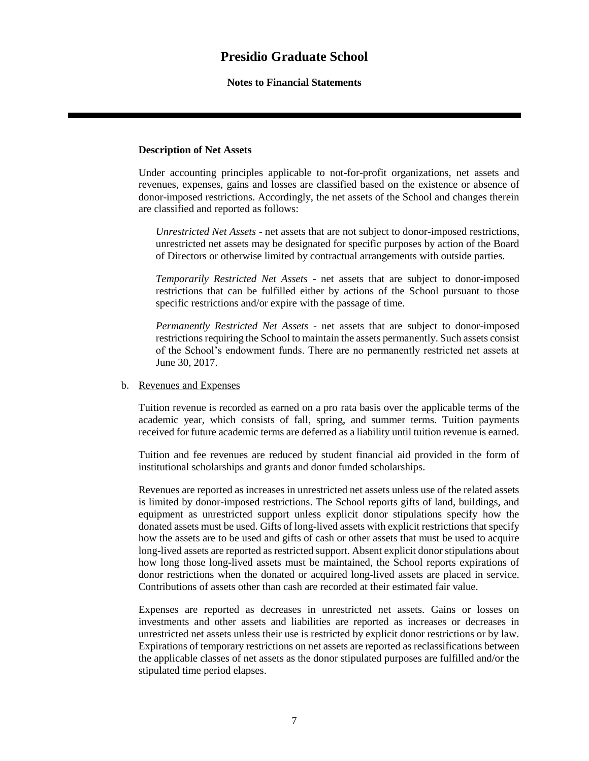#### **Notes to Financial Statements**

#### **Description of Net Assets**

Under accounting principles applicable to not-for-profit organizations, net assets and revenues, expenses, gains and losses are classified based on the existence or absence of donor-imposed restrictions. Accordingly, the net assets of the School and changes therein are classified and reported as follows:

*Unrestricted Net Assets* - net assets that are not subject to donor-imposed restrictions, unrestricted net assets may be designated for specific purposes by action of the Board of Directors or otherwise limited by contractual arrangements with outside parties.

*Temporarily Restricted Net Assets* - net assets that are subject to donor-imposed restrictions that can be fulfilled either by actions of the School pursuant to those specific restrictions and/or expire with the passage of time.

*Permanently Restricted Net Assets* - net assets that are subject to donor-imposed restrictions requiring the School to maintain the assets permanently. Such assets consist of the School's endowment funds. There are no permanently restricted net assets at June 30, 2017.

#### b. Revenues and Expenses

Tuition revenue is recorded as earned on a pro rata basis over the applicable terms of the academic year, which consists of fall, spring, and summer terms. Tuition payments received for future academic terms are deferred as a liability until tuition revenue is earned.

Tuition and fee revenues are reduced by student financial aid provided in the form of institutional scholarships and grants and donor funded scholarships.

Revenues are reported as increases in unrestricted net assets unless use of the related assets is limited by donor-imposed restrictions. The School reports gifts of land, buildings, and equipment as unrestricted support unless explicit donor stipulations specify how the donated assets must be used. Gifts of long-lived assets with explicit restrictions that specify how the assets are to be used and gifts of cash or other assets that must be used to acquire long-lived assets are reported as restricted support. Absent explicit donor stipulations about how long those long-lived assets must be maintained, the School reports expirations of donor restrictions when the donated or acquired long-lived assets are placed in service. Contributions of assets other than cash are recorded at their estimated fair value.

Expenses are reported as decreases in unrestricted net assets. Gains or losses on investments and other assets and liabilities are reported as increases or decreases in unrestricted net assets unless their use is restricted by explicit donor restrictions or by law. Expirations of temporary restrictions on net assets are reported as reclassifications between the applicable classes of net assets as the donor stipulated purposes are fulfilled and/or the stipulated time period elapses.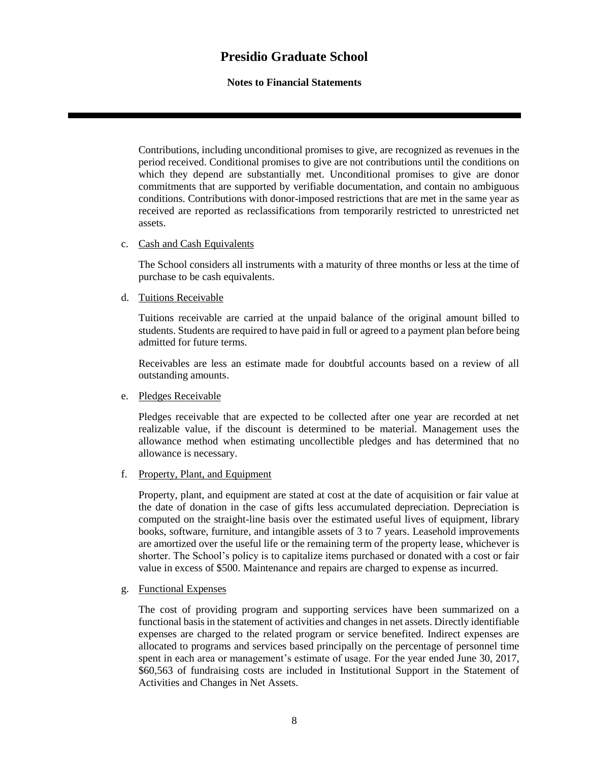#### **Notes to Financial Statements**

Contributions, including unconditional promises to give, are recognized as revenues in the period received. Conditional promises to give are not contributions until the conditions on which they depend are substantially met. Unconditional promises to give are donor commitments that are supported by verifiable documentation, and contain no ambiguous conditions. Contributions with donor-imposed restrictions that are met in the same year as received are reported as reclassifications from temporarily restricted to unrestricted net assets.

#### c. Cash and Cash Equivalents

The School considers all instruments with a maturity of three months or less at the time of purchase to be cash equivalents.

#### d. Tuitions Receivable

Tuitions receivable are carried at the unpaid balance of the original amount billed to students. Students are required to have paid in full or agreed to a payment plan before being admitted for future terms.

Receivables are less an estimate made for doubtful accounts based on a review of all outstanding amounts.

#### e. Pledges Receivable

Pledges receivable that are expected to be collected after one year are recorded at net realizable value, if the discount is determined to be material. Management uses the allowance method when estimating uncollectible pledges and has determined that no allowance is necessary.

#### f. Property, Plant, and Equipment

Property, plant, and equipment are stated at cost at the date of acquisition or fair value at the date of donation in the case of gifts less accumulated depreciation. Depreciation is computed on the straight-line basis over the estimated useful lives of equipment, library books, software, furniture, and intangible assets of 3 to 7 years. Leasehold improvements are amortized over the useful life or the remaining term of the property lease, whichever is shorter. The School's policy is to capitalize items purchased or donated with a cost or fair value in excess of \$500. Maintenance and repairs are charged to expense as incurred.

#### g. Functional Expenses

The cost of providing program and supporting services have been summarized on a functional basis in the statement of activities and changes in net assets. Directly identifiable expenses are charged to the related program or service benefited. Indirect expenses are allocated to programs and services based principally on the percentage of personnel time spent in each area or management's estimate of usage. For the year ended June 30, 2017, \$60,563 of fundraising costs are included in Institutional Support in the Statement of Activities and Changes in Net Assets.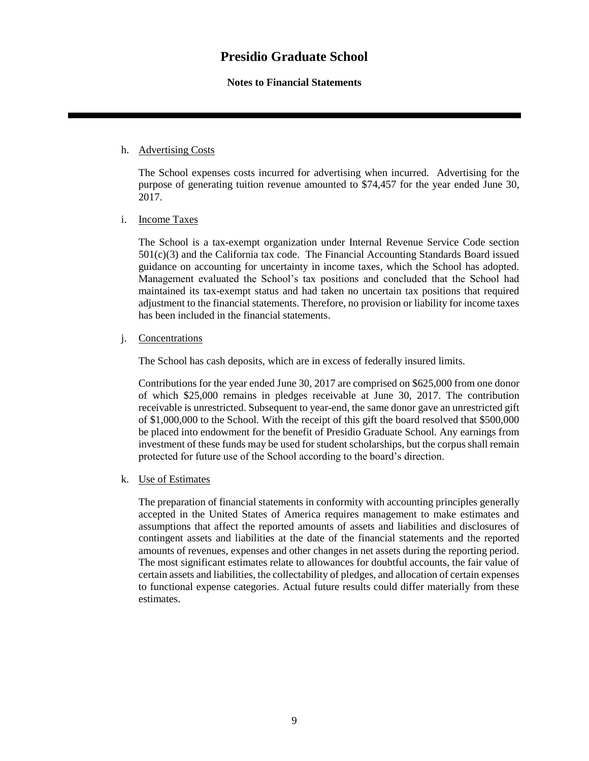#### **Notes to Financial Statements**

#### h. Advertising Costs

The School expenses costs incurred for advertising when incurred. Advertising for the purpose of generating tuition revenue amounted to \$74,457 for the year ended June 30, 2017.

#### i. Income Taxes

The School is a tax-exempt organization under Internal Revenue Service Code section 501(c)(3) and the California tax code. The Financial Accounting Standards Board issued guidance on accounting for uncertainty in income taxes, which the School has adopted. Management evaluated the School's tax positions and concluded that the School had maintained its tax-exempt status and had taken no uncertain tax positions that required adjustment to the financial statements. Therefore, no provision or liability for income taxes has been included in the financial statements.

#### j. Concentrations

The School has cash deposits, which are in excess of federally insured limits.

Contributions for the year ended June 30, 2017 are comprised on \$625,000 from one donor of which \$25,000 remains in pledges receivable at June 30, 2017. The contribution receivable is unrestricted. Subsequent to year-end, the same donor gave an unrestricted gift of \$1,000,000 to the School. With the receipt of this gift the board resolved that \$500,000 be placed into endowment for the benefit of Presidio Graduate School. Any earnings from investment of these funds may be used for student scholarships, but the corpus shall remain protected for future use of the School according to the board's direction.

k. Use of Estimates

The preparation of financial statements in conformity with accounting principles generally accepted in the United States of America requires management to make estimates and assumptions that affect the reported amounts of assets and liabilities and disclosures of contingent assets and liabilities at the date of the financial statements and the reported amounts of revenues, expenses and other changes in net assets during the reporting period. The most significant estimates relate to allowances for doubtful accounts, the fair value of certain assets and liabilities, the collectability of pledges, and allocation of certain expenses to functional expense categories. Actual future results could differ materially from these estimates.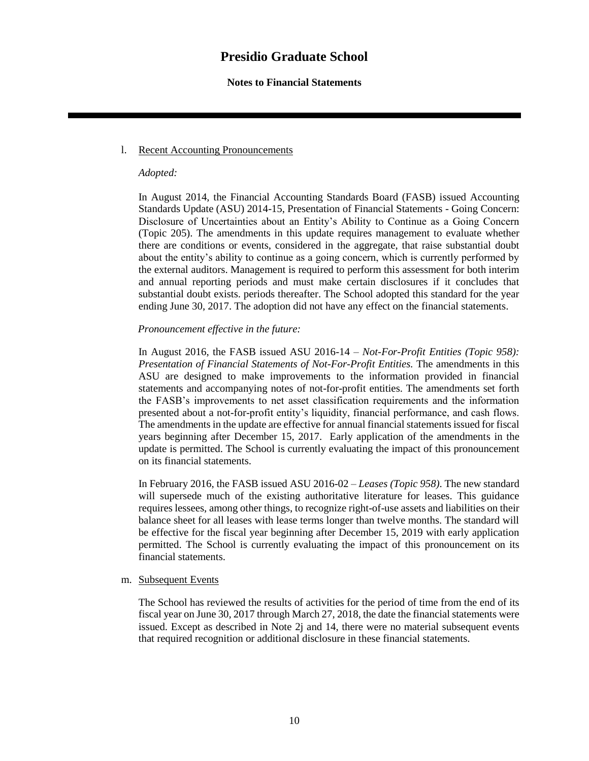#### **Notes to Financial Statements**

#### l. Recent Accounting Pronouncements

#### *Adopted:*

In August 2014, the Financial Accounting Standards Board (FASB) issued Accounting Standards Update (ASU) 2014-15, Presentation of Financial Statements - Going Concern: Disclosure of Uncertainties about an Entity's Ability to Continue as a Going Concern (Topic 205). The amendments in this update requires management to evaluate whether there are conditions or events, considered in the aggregate, that raise substantial doubt about the entity's ability to continue as a going concern, which is currently performed by the external auditors. Management is required to perform this assessment for both interim and annual reporting periods and must make certain disclosures if it concludes that substantial doubt exists. periods thereafter. The School adopted this standard for the year ending June 30, 2017. The adoption did not have any effect on the financial statements.

#### *Pronouncement effective in the future:*

In August 2016, the FASB issued ASU 2016-14 – *Not-For-Profit Entities (Topic 958): Presentation of Financial Statements of Not-For-Profit Entities.* The amendments in this ASU are designed to make improvements to the information provided in financial statements and accompanying notes of not-for-profit entities. The amendments set forth the FASB's improvements to net asset classification requirements and the information presented about a not-for-profit entity's liquidity, financial performance, and cash flows. The amendments in the update are effective for annual financial statements issued for fiscal years beginning after December 15, 2017. Early application of the amendments in the update is permitted. The School is currently evaluating the impact of this pronouncement on its financial statements.

In February 2016, the FASB issued ASU 2016-02 – *Leases (Topic 958)*. The new standard will supersede much of the existing authoritative literature for leases. This guidance requires lessees, among other things, to recognize right-of-use assets and liabilities on their balance sheet for all leases with lease terms longer than twelve months. The standard will be effective for the fiscal year beginning after December 15, 2019 with early application permitted. The School is currently evaluating the impact of this pronouncement on its financial statements.

#### m. Subsequent Events

The School has reviewed the results of activities for the period of time from the end of its fiscal year on June 30, 2017 through March 27, 2018, the date the financial statements were issued. Except as described in Note 2j and 14, there were no material subsequent events that required recognition or additional disclosure in these financial statements.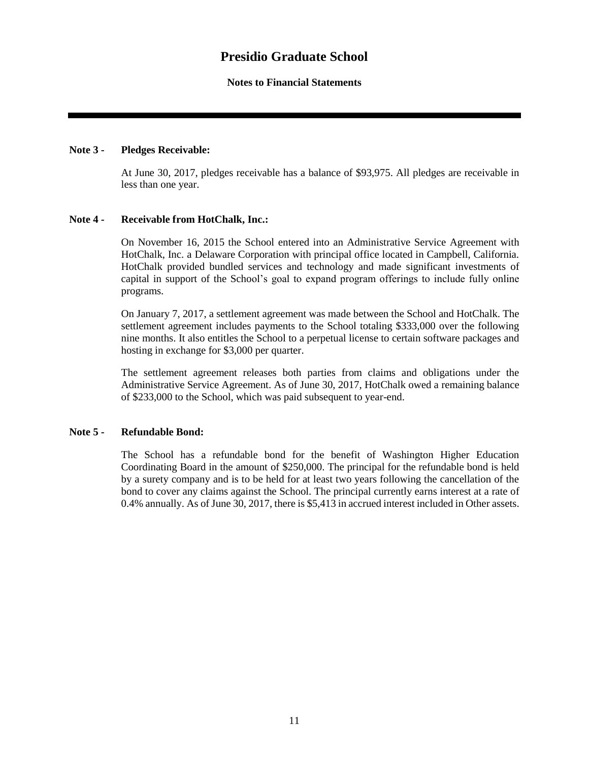#### **Notes to Financial Statements**

#### **Note 3 - Pledges Receivable:**

At June 30, 2017, pledges receivable has a balance of \$93,975. All pledges are receivable in less than one year.

#### **Note 4 - Receivable from HotChalk, Inc.:**

On November 16, 2015 the School entered into an Administrative Service Agreement with HotChalk, Inc. a Delaware Corporation with principal office located in Campbell, California. HotChalk provided bundled services and technology and made significant investments of capital in support of the School's goal to expand program offerings to include fully online programs.

On January 7, 2017, a settlement agreement was made between the School and HotChalk. The settlement agreement includes payments to the School totaling \$333,000 over the following nine months. It also entitles the School to a perpetual license to certain software packages and hosting in exchange for \$3,000 per quarter.

The settlement agreement releases both parties from claims and obligations under the Administrative Service Agreement. As of June 30, 2017, HotChalk owed a remaining balance of \$233,000 to the School, which was paid subsequent to year-end.

#### **Note 5 - Refundable Bond:**

The School has a refundable bond for the benefit of Washington Higher Education Coordinating Board in the amount of \$250,000. The principal for the refundable bond is held by a surety company and is to be held for at least two years following the cancellation of the bond to cover any claims against the School. The principal currently earns interest at a rate of 0.4% annually. As of June 30, 2017, there is \$5,413 in accrued interest included in Other assets.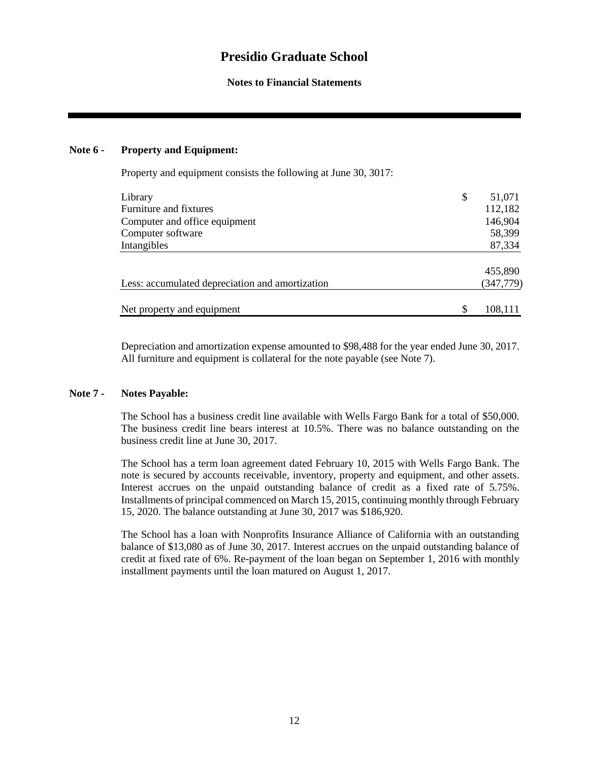**Notes to Financial Statements**

#### **Note 6 - Property and Equipment:**

Property and equipment consists the following at June 30, 3017:

| Library                                         | \$<br>51,071  |
|-------------------------------------------------|---------------|
| Furniture and fixtures                          | 112,182       |
| Computer and office equipment                   | 146,904       |
| Computer software                               | 58,399        |
| Intangibles                                     | 87,334        |
|                                                 |               |
|                                                 | 455,890       |
| Less: accumulated depreciation and amortization | (347, 779)    |
|                                                 |               |
| Net property and equipment                      | \$<br>108,111 |

Depreciation and amortization expense amounted to \$98,488 for the year ended June 30, 2017. All furniture and equipment is collateral for the note payable (see Note 7).

#### **Note 7 - Notes Payable:**

The School has a business credit line available with Wells Fargo Bank for a total of \$50,000. The business credit line bears interest at 10.5%. There was no balance outstanding on the business credit line at June 30, 2017.

The School has a term loan agreement dated February 10, 2015 with Wells Fargo Bank. The note is secured by accounts receivable, inventory, property and equipment, and other assets. Interest accrues on the unpaid outstanding balance of credit as a fixed rate of 5.75%. Installments of principal commenced on March 15, 2015, continuing monthly through February 15, 2020. The balance outstanding at June 30, 2017 was \$186,920.

The School has a loan with Nonprofits Insurance Alliance of California with an outstanding balance of \$13,080 as of June 30, 2017. Interest accrues on the unpaid outstanding balance of credit at fixed rate of 6%. Re-payment of the loan began on September 1, 2016 with monthly installment payments until the loan matured on August 1, 2017.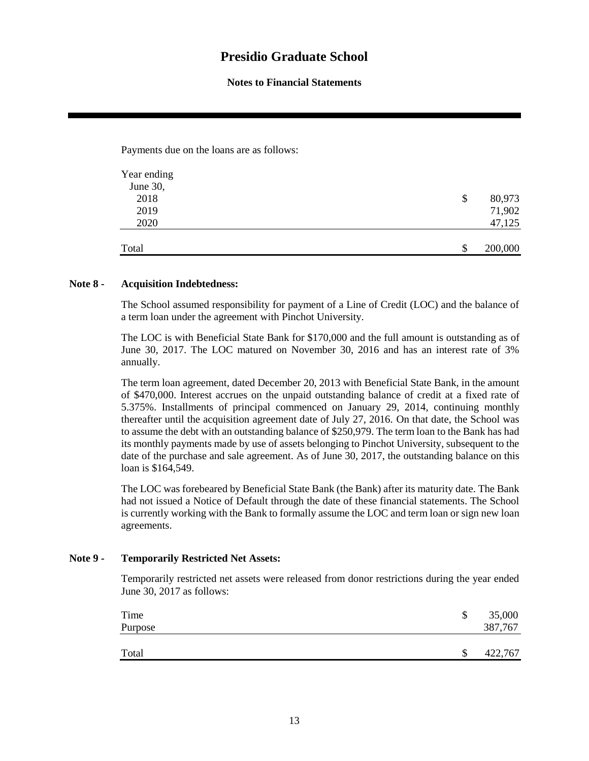#### **Notes to Financial Statements**

Payments due on the loans are as follows:

| Total       | \$<br>200,000 |
|-------------|---------------|
| 2020        | 47,125        |
| 2019        | 71,902        |
| 2018        | \$<br>80,973  |
| June 30,    |               |
| Year ending |               |

#### **Note 8 - Acquisition Indebtedness:**

The School assumed responsibility for payment of a Line of Credit (LOC) and the balance of a term loan under the agreement with Pinchot University.

The LOC is with Beneficial State Bank for \$170,000 and the full amount is outstanding as of June 30, 2017. The LOC matured on November 30, 2016 and has an interest rate of 3% annually.

The term loan agreement, dated December 20, 2013 with Beneficial State Bank, in the amount of \$470,000. Interest accrues on the unpaid outstanding balance of credit at a fixed rate of 5.375%. Installments of principal commenced on January 29, 2014, continuing monthly thereafter until the acquisition agreement date of July 27, 2016. On that date, the School was to assume the debt with an outstanding balance of \$250,979. The term loan to the Bank has had its monthly payments made by use of assets belonging to Pinchot University, subsequent to the date of the purchase and sale agreement. As of June 30, 2017, the outstanding balance on this loan is \$164,549.

The LOC was forebeared by Beneficial State Bank (the Bank) after its maturity date. The Bank had not issued a Notice of Default through the date of these financial statements. The School is currently working with the Bank to formally assume the LOC and term loan or sign new loan agreements.

#### **Note 9 - Temporarily Restricted Net Assets:**

Temporarily restricted net assets were released from donor restrictions during the year ended June 30, 2017 as follows:

| Time    | ጦ | 35,000  |
|---------|---|---------|
| Purpose | Φ | 387,767 |
| Total   | ◡ | 422,767 |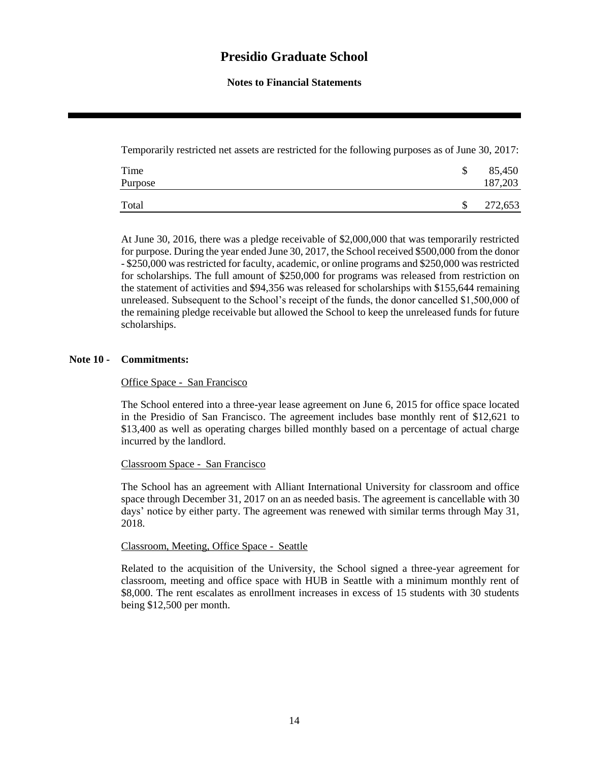**Notes to Financial Statements**

| Temporarily restricted net assets are restricted for the following purposes as of June 30, 2017: |     |                   |  |  |  |  |  |
|--------------------------------------------------------------------------------------------------|-----|-------------------|--|--|--|--|--|
| Time<br>Purpose                                                                                  | SS. | 85.450<br>187,203 |  |  |  |  |  |
| Total                                                                                            | S.  | 272.653           |  |  |  |  |  |

At June 30, 2016, there was a pledge receivable of \$2,000,000 that was temporarily restricted for purpose. During the year ended June 30, 2017, the School received \$500,000 from the donor - \$250,000 was restricted for faculty, academic, or online programs and \$250,000 was restricted for scholarships. The full amount of \$250,000 for programs was released from restriction on the statement of activities and \$94,356 was released for scholarships with \$155,644 remaining unreleased. Subsequent to the School's receipt of the funds, the donor cancelled \$1,500,000 of the remaining pledge receivable but allowed the School to keep the unreleased funds for future scholarships.

#### **Note 10 - Commitments:**

#### Office Space - San Francisco

The School entered into a three-year lease agreement on June 6, 2015 for office space located in the Presidio of San Francisco. The agreement includes base monthly rent of \$12,621 to \$13,400 as well as operating charges billed monthly based on a percentage of actual charge incurred by the landlord.

#### Classroom Space - San Francisco

The School has an agreement with Alliant International University for classroom and office space through December 31, 2017 on an as needed basis. The agreement is cancellable with 30 days' notice by either party. The agreement was renewed with similar terms through May 31, 2018.

#### Classroom, Meeting, Office Space - Seattle

Related to the acquisition of the University, the School signed a three-year agreement for classroom, meeting and office space with HUB in Seattle with a minimum monthly rent of \$8,000. The rent escalates as enrollment increases in excess of 15 students with 30 students being \$12,500 per month.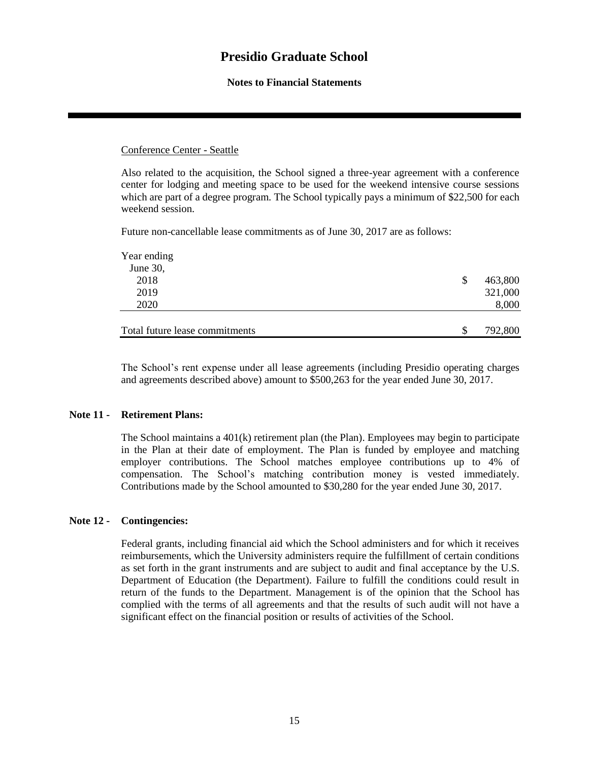#### **Notes to Financial Statements**

#### Conference Center - Seattle

Also related to the acquisition, the School signed a three-year agreement with a conference center for lodging and meeting space to be used for the weekend intensive course sessions which are part of a degree program. The School typically pays a minimum of \$22,500 for each weekend session.

Future non-cancellable lease commitments as of June 30, 2017 are as follows:

| \$<br>463,800 |
|---------------|
| 321,000       |
| 8,000         |
| 792,800       |
| S             |

The School's rent expense under all lease agreements (including Presidio operating charges and agreements described above) amount to \$500,263 for the year ended June 30, 2017.

#### **Note 11 - Retirement Plans:**

The School maintains a 401(k) retirement plan (the Plan). Employees may begin to participate in the Plan at their date of employment. The Plan is funded by employee and matching employer contributions. The School matches employee contributions up to 4% of compensation. The School's matching contribution money is vested immediately. Contributions made by the School amounted to \$30,280 for the year ended June 30, 2017.

#### **Note 12 - Contingencies:**

Federal grants, including financial aid which the School administers and for which it receives reimbursements, which the University administers require the fulfillment of certain conditions as set forth in the grant instruments and are subject to audit and final acceptance by the U.S. Department of Education (the Department). Failure to fulfill the conditions could result in return of the funds to the Department. Management is of the opinion that the School has complied with the terms of all agreements and that the results of such audit will not have a significant effect on the financial position or results of activities of the School.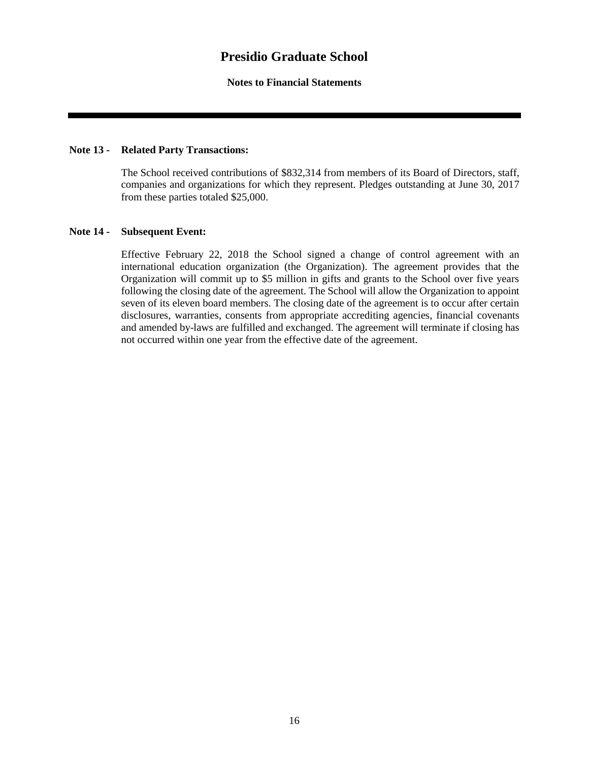**Notes to Financial Statements**

#### **Note 13 - Related Party Transactions:**

The School received contributions of \$832,314 from members of its Board of Directors, staff, companies and organizations for which they represent. Pledges outstanding at June 30, 2017 from these parties totaled \$25,000.

#### **Note 14 - Subsequent Event:**

Effective February 22, 2018 the School signed a change of control agreement with an international education organization (the Organization). The agreement provides that the Organization will commit up to \$5 million in gifts and grants to the School over five years following the closing date of the agreement. The School will allow the Organization to appoint seven of its eleven board members. The closing date of the agreement is to occur after certain disclosures, warranties, consents from appropriate accrediting agencies, financial covenants and amended by-laws are fulfilled and exchanged. The agreement will terminate if closing has not occurred within one year from the effective date of the agreement.